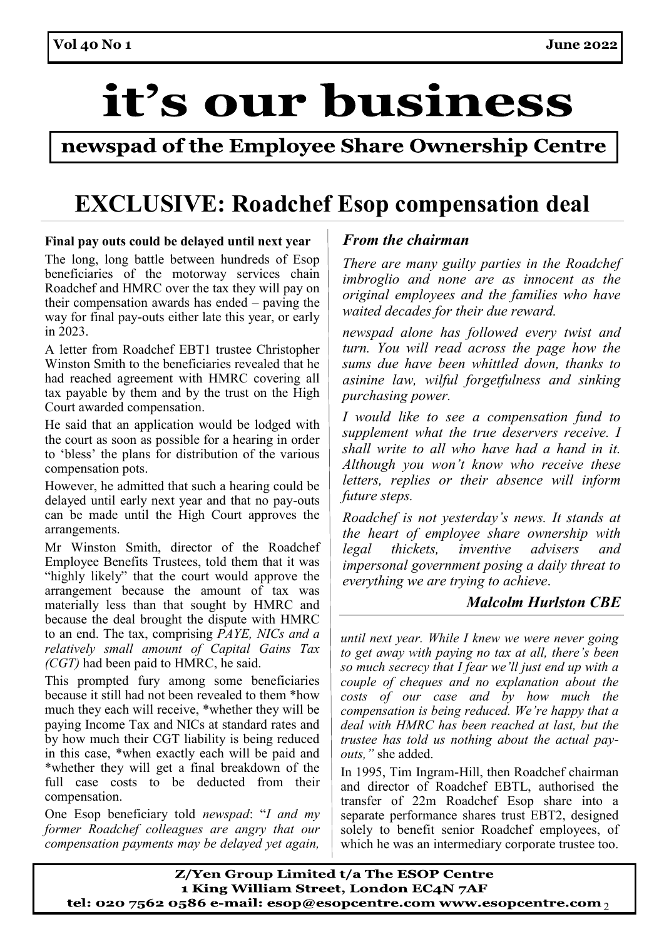# it's our business

### newspad of the Employee Share Ownership Centre

## **EXCLUSIVE: Roadchef Esop compensation deal**

### **Final pay outs could be delayed until next year**

The long, long battle between hundreds of Esop beneficiaries of the motorway services chain Roadchef and HMRC over the tax they will pay on their compensation awards has ended – paving the way for final pay-outs either late this year, or early in 2023.

A letter from Roadchef EBT1 trustee Christopher Winston Smith to the beneficiaries revealed that he had reached agreement with HMRC covering all tax payable by them and by the trust on the High Court awarded compensation.

He said that an application would be lodged with the court as soon as possible for a hearing in order to 'bless' the plans for distribution of the various compensation pots.

However, he admitted that such a hearing could be delayed until early next year and that no pay-outs can be made until the High Court approves the arrangements.

Mr Winston Smith, director of the Roadchef Employee Benefits Trustees, told them that it was "highly likely" that the court would approve the arrangement because the amount of tax was materially less than that sought by HMRC and because the deal brought the dispute with HMRC to an end. The tax, comprising *PAYE, NICs and a relatively small amount of Capital Gains Tax (CGT)* had been paid to HMRC, he said.

This prompted fury among some beneficiaries because it still had not been revealed to them \*how much they each will receive, \*whether they will be paying Income Tax and NICs at standard rates and by how much their CGT liability is being reduced in this case, \*when exactly each will be paid and \*whether they will get a final breakdown of the full case costs to be deducted from their compensation.

One Esop beneficiary told *newspad*: "*I and my former Roadchef colleagues are angry that our compensation payments may be delayed yet again,* 

### *From the chairman*

*There are many guilty parties in the Roadchef imbroglio and none are as innocent as the original employees and the families who have waited decades for their due reward.*

*newspad alone has followed every twist and turn. You will read across the page how the sums due have been whittled down, thanks to asinine law, wilful forgetfulness and sinking purchasing power.*

*I would like to see a compensation fund to supplement what the true deservers receive. I shall write to all who have had a hand in it. Although you won't know who receive these letters, replies or their absence will inform future steps.*

*Roadchef is not yesterday's news. It stands at the heart of employee share ownership with legal thickets, inventive advisers and impersonal government posing a daily threat to everything we are trying to achieve*.

### *Malcolm Hurlston CBE*

*until next year. While I knew we were never going to get away with paying no tax at all, there's been so much secrecy that I fear we'll just end up with a couple of cheques and no explanation about the costs of our case and by how much the compensation is being reduced. We're happy that a deal with HMRC has been reached at last, but the trustee has told us nothing about the actual payouts,"* she added.

In 1995, Tim Ingram-Hill, then Roadchef chairman and director of Roadchef EBTL, authorised the transfer of 22m Roadchef Esop share into a separate performance shares trust EBT2, designed solely to benefit senior Roadchef employees, of which he was an intermediary corporate trustee too.

Z/Yen Group Limited t/a The ESOP Centre 1 King William Street, London EC4N 7AF tel: 020 7562 0586 e-mail: esop@esopcentre.com www.esopcentre.com  $\gamma$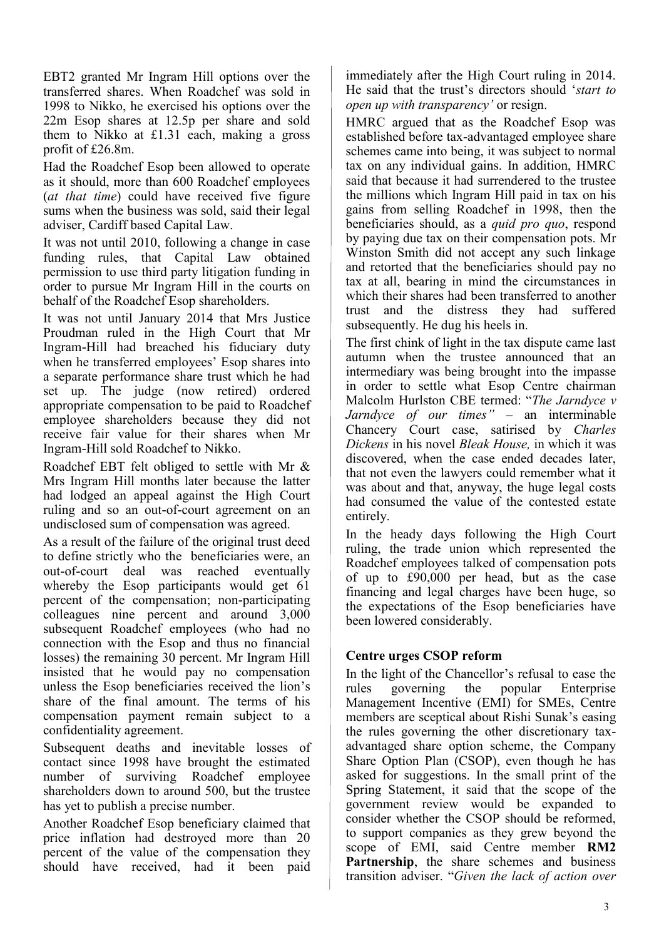EBT2 granted Mr Ingram Hill options over the transferred shares. When Roadchef was sold in 1998 to Nikko, he exercised his options over the 22m Esop shares at 12.5p per share and sold them to Nikko at £1.31 each, making a gross profit of £26.8m.

Had the Roadchef Esop been allowed to operate as it should, more than 600 Roadchef employees (*at that time*) could have received five figure sums when the business was sold, said their legal adviser, Cardiff based Capital Law.

It was not until 2010, following a change in case funding rules, that Capital Law obtained permission to use third party litigation funding in order to pursue Mr Ingram Hill in the courts on behalf of the Roadchef Esop shareholders.

It was not until January 2014 that Mrs Justice Proudman ruled in the High Court that Mr Ingram-Hill had breached his fiduciary duty when he transferred employees' Esop shares into a separate performance share trust which he had set up. The judge (now retired) ordered appropriate compensation to be paid to Roadchef employee shareholders because they did not receive fair value for their shares when Mr Ingram-Hill sold Roadchef to Nikko.

Roadchef EBT felt obliged to settle with Mr & Mrs Ingram Hill months later because the latter had lodged an appeal against the High Court ruling and so an out-of-court agreement on an undisclosed sum of compensation was agreed.

As a result of the failure of the original trust deed to define strictly who the beneficiaries were, an out-of-court deal was reached eventually whereby the Esop participants would get 61 percent of the compensation; non-participating colleagues nine percent and around 3,000 subsequent Roadchef employees (who had no connection with the Esop and thus no financial losses) the remaining 30 percent. Mr Ingram Hill insisted that he would pay no compensation unless the Esop beneficiaries received the lion's share of the final amount. The terms of his compensation payment remain subject to a confidentiality agreement.

Subsequent deaths and inevitable losses of contact since 1998 have brought the estimated number of surviving Roadchef employee shareholders down to around 500, but the trustee has yet to publish a precise number.

Another Roadchef Esop beneficiary claimed that price inflation had destroyed more than 20 percent of the value of the compensation they should have received, had it been paid

immediately after the High Court ruling in 2014. He said that the trust's directors should '*start to open up with transparency'* or resign.

HMRC argued that as the Roadchef Esop was established before tax-advantaged employee share schemes came into being, it was subject to normal tax on any individual gains. In addition, HMRC said that because it had surrendered to the trustee the millions which Ingram Hill paid in tax on his gains from selling Roadchef in 1998, then the beneficiaries should, as a *quid pro quo*, respond by paying due tax on their compensation pots. Mr Winston Smith did not accept any such linkage and retorted that the beneficiaries should pay no tax at all, bearing in mind the circumstances in which their shares had been transferred to another trust and the distress they had suffered subsequently. He dug his heels in.

The first chink of light in the tax dispute came last autumn when the trustee announced that an intermediary was being brought into the impasse in order to settle what Esop Centre chairman Malcolm Hurlston CBE termed: "*The Jarndyce v Jarndyce of our times" –* an interminable Chancery Court case, satirised by *Charles Dickens* in his novel *Bleak House,* in which it was discovered, when the case ended decades later, that not even the lawyers could remember what it was about and that, anyway, the huge legal costs had consumed the value of the contested estate entirely.

In the heady days following the High Court ruling, the trade union which represented the Roadchef employees talked of compensation pots of up to £90,000 per head, but as the case financing and legal charges have been huge, so the expectations of the Esop beneficiaries have been lowered considerably.

### **Centre urges CSOP reform**

In the light of the Chancellor's refusal to ease the rules governing the popular Enterprise Management Incentive (EMI) for SMEs, Centre members are sceptical about Rishi Sunak's easing the rules governing the other discretionary taxadvantaged share option scheme, the Company Share Option Plan (CSOP), even though he has asked for suggestions. In the small print of the Spring Statement, it said that the scope of the government review would be expanded to consider whether the CSOP should be reformed, to support companies as they grew beyond the scope of EMI, said Centre member **RM2 Partnership**, the share schemes and business transition adviser. "*Given the lack of action over*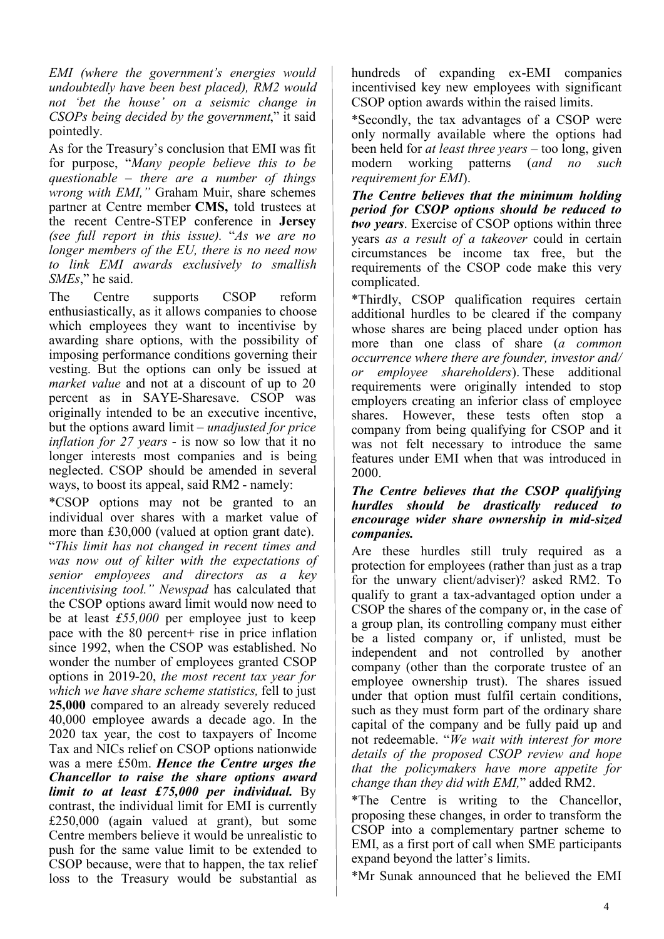*EMI (where the government's energies would undoubtedly have been best placed), RM2 would not 'bet the house' on a seismic change in CSOPs being decided by the government*," it said pointedly.

As for the Treasury's conclusion that EMI was fit for purpose, "*Many people believe this to be questionable – there are a number of things wrong with EMI,"* Graham Muir, share schemes partner at Centre member **CMS,** told trustees at the recent Centre-STEP conference in **Jersey** *(see full report in this issue).* "*As we are no longer members of the EU, there is no need now to link EMI awards exclusively to smallish SMEs*," he said.

The Centre supports CSOP reform enthusiastically, as it allows companies to choose which employees they want to incentivise by awarding share options, with the possibility of imposing performance conditions governing their vesting. But the options can only be issued at *market value* and not at a discount of up to 20 percent as in SAYE-Sharesave. CSOP was originally intended to be an executive incentive, but the options award limit – *unadjusted for price inflation for 27 years* - is now so low that it no longer interests most companies and is being neglected. CSOP should be amended in several ways, to boost its appeal, said RM2 - namely:

\*CSOP options may not be granted to an individual over shares with a market value of more than £30,000 (valued at option grant date).  "*This limit has not changed in recent times and was now out of kilter with the expectations of senior employees and directors as a key incentivising tool." Newspad* has calculated that the CSOP options award limit would now need to be at least *£55,000* per employee just to keep pace with the 80 percent+ rise in price inflation since 1992, when the CSOP was established. No wonder the number of employees granted CSOP options in 2019-20, *the most recent tax year for which we have share scheme statistics,* fell to just **25,000** compared to an already severely reduced 40,000 employee awards a decade ago. In the 2020 tax year, the cost to taxpayers of Income Tax and NICs relief on CSOP options nationwide was a mere £50m. *Hence the Centre urges the Chancellor to raise the share options award limit to at least £75,000 per individual.* By contrast, the individual limit for EMI is currently £250,000 (again valued at grant), but some Centre members believe it would be unrealistic to push for the same value limit to be extended to CSOP because, were that to happen, the tax relief loss to the Treasury would be substantial as

hundreds of expanding ex-EMI companies incentivised key new employees with significant CSOP option awards within the raised limits.

\*Secondly, the tax advantages of a CSOP were only normally available where the options had been held for *at least three years* – too long, given modern working patterns (*and no such requirement for EMI*).

*The Centre believes that the minimum holding period for CSOP options should be reduced to two years*. Exercise of CSOP options within three years *as a result of a takeover* could in certain circumstances be income tax free, but the requirements of the CSOP code make this very complicated.

\*Thirdly, CSOP qualification requires certain additional hurdles to be cleared if the company whose shares are being placed under option has more than one class of share (*a common occurrence where there are founder, investor and/ or employee shareholders*). These additional requirements were originally intended to stop employers creating an inferior class of employee shares.  However, these tests often stop a company from being qualifying for CSOP and it was not felt necessary to introduce the same features under EMI when that was introduced in 2000.

### *The Centre believes that the CSOP qualifying hurdles should be drastically reduced to encourage wider share ownership in mid-sized companies.*

Are these hurdles still truly required as a protection for employees (rather than just as a trap for the unwary client/adviser)? asked RM2. To qualify to grant a tax-advantaged option under a CSOP the shares of the company or, in the case of a group plan, its controlling company must either be a listed company or, if unlisted, must be independent and not controlled by another company (other than the corporate trustee of an employee ownership trust). The shares issued under that option must fulfil certain conditions, such as they must form part of the ordinary share capital of the company and be fully paid up and not redeemable. "*We wait with interest for more details of the proposed CSOP review and hope that the policymakers have more appetite for change than they did with EMI,*" added RM2.

\*The Centre is writing to the Chancellor, proposing these changes, in order to transform the CSOP into a complementary partner scheme to EMI, as a first port of call when SME participants expand beyond the latter's limits.

\*Mr Sunak announced that he believed the EMI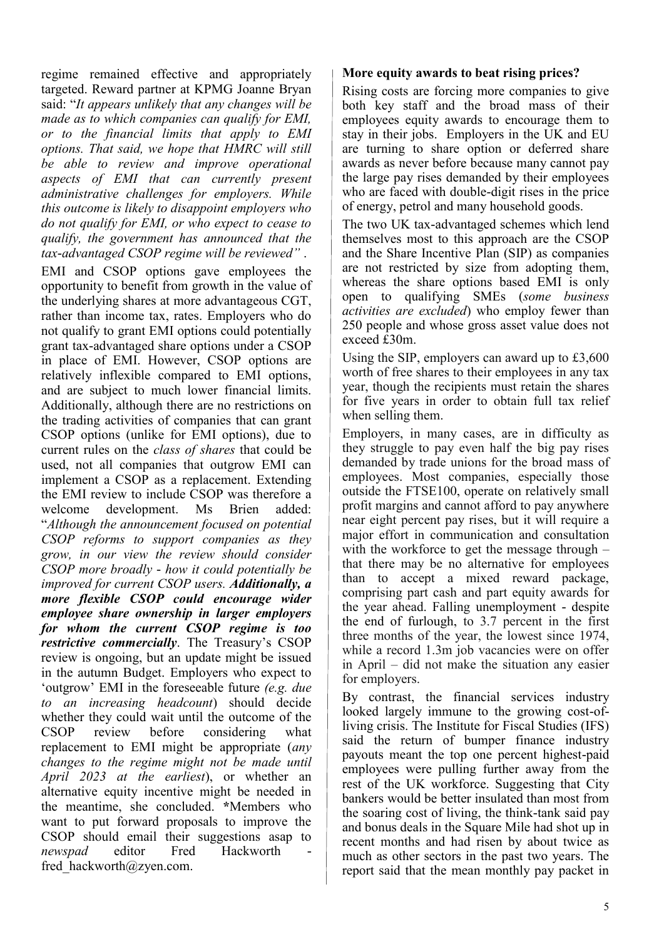regime remained effective and appropriately targeted. Reward partner at KPMG Joanne Bryan said: "*It appears unlikely that any changes will be made as to which companies can qualify for EMI, or to the financial limits that apply to EMI options. That said, we hope that HMRC will still be able to review and improve operational aspects of EMI that can currently present administrative challenges for employers. While this outcome is likely to disappoint employers who do not qualify for EMI, or who expect to cease to qualify, the government has announced that the tax-advantaged CSOP regime will be reviewed"* .

EMI and CSOP options gave employees the opportunity to benefit from growth in the value of the underlying shares at more advantageous CGT, rather than income tax, rates. Employers who do not qualify to grant EMI options could potentially grant tax-advantaged share options under a CSOP in place of EMI. However, CSOP options are relatively inflexible compared to EMI options, and are subject to much lower financial limits. Additionally, although there are no restrictions on the trading activities of companies that can grant CSOP options (unlike for EMI options), due to current rules on the *class of shares* that could be used, not all companies that outgrow EMI can implement a CSOP as a replacement. Extending the EMI review to include CSOP was therefore a welcome development. Ms Brien added: "*Although the announcement focused on potential CSOP reforms to support companies as they grow, in our view the review should consider CSOP more broadly - how it could potentially be improved for current CSOP users. Additionally, a more flexible CSOP could encourage wider employee share ownership in larger employers for whom the current CSOP regime is too restrictive commercially*. The Treasury's CSOP review is ongoing, but an update might be issued in the autumn Budget. Employers who expect to 'outgrow' EMI in the foreseeable future *(e.g. due to an increasing headcount*) should decide whether they could wait until the outcome of the CSOP review before considering what replacement to EMI might be appropriate (*any changes to the regime might not be made until April 2023 at the earliest*), or whether an alternative equity incentive might be needed in the meantime, she concluded. **\***Members who want to put forward proposals to improve the CSOP should email their suggestions asap to *newspad* editor Fred Hackworth fred hackworth@zyen.com.

#### **More equity awards to beat rising prices?**

Rising costs are forcing more companies to give both key staff and the broad mass of their employees equity awards to encourage them to stay in their jobs. Employers in the UK and EU are turning to share option or deferred share awards as never before because many cannot pay the large pay rises demanded by their employees who are faced with double-digit rises in the price of energy, petrol and many household goods.

The two UK tax-advantaged schemes which lend themselves most to this approach are the CSOP and the Share Incentive Plan (SIP) as companies are not restricted by size from adopting them, whereas the share options based EMI is only open to qualifying SMEs (*some business activities are excluded*) who employ fewer than 250 people and whose gross asset value does not exceed £30m.

Using the SIP, employers can award up to £3,600 worth of free shares to their employees in any tax year, though the recipients must retain the shares for five years in order to obtain full tax relief when selling them.

Employers, in many cases, are in difficulty as they struggle to pay even half the big pay rises demanded by trade unions for the broad mass of employees. Most companies, especially those outside the FTSE100, operate on relatively small profit margins and cannot afford to pay anywhere near eight percent pay rises, but it will require a major effort in communication and consultation with the workforce to get the message through – that there may be no alternative for employees than to accept a mixed reward package, comprising part cash and part equity awards for the year ahead. Falling unemployment - despite the end of furlough, to 3.7 percent in the first three months of the year, the lowest since 1974, while a record 1.3m job vacancies were on offer in April – did not make the situation any easier for employers.

By contrast, the financial services industry looked largely immune to the growing cost-ofliving crisis. The Institute for Fiscal Studies (IFS) said the return of bumper finance industry payouts meant the top one percent highest-paid employees were pulling further away from the rest of the UK workforce. Suggesting that City bankers would be better insulated than most from the soaring cost of living, the think-tank said pay and bonus deals in the Square Mile had shot up in recent months and had risen by about twice as much as other sectors in the past two years. The report said that the mean monthly pay packet in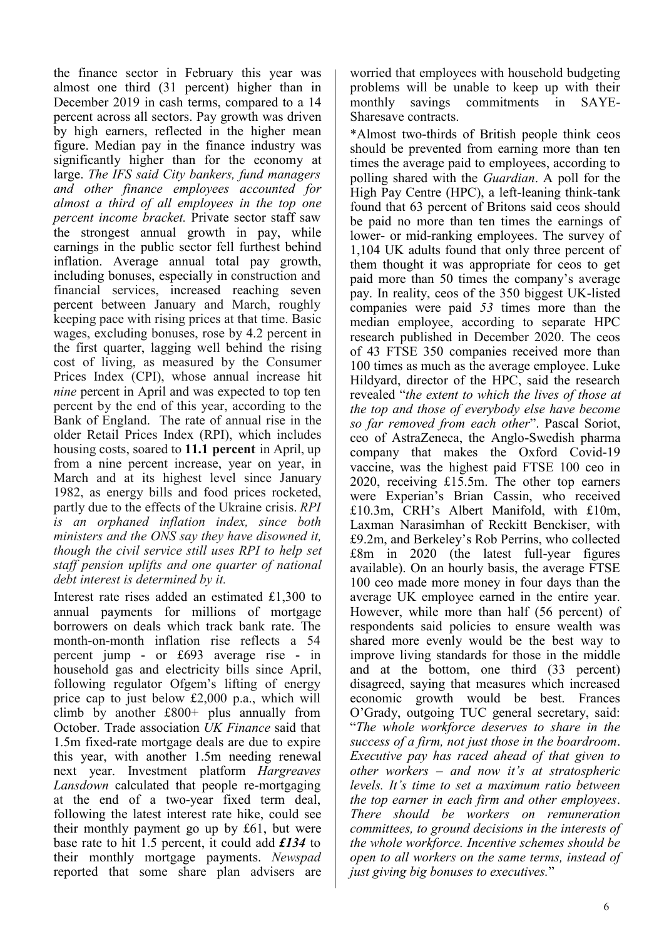the finance sector in February this year was almost one third (31 percent) higher than in December 2019 in cash terms, compared to a 14 percent across all sectors. Pay growth was driven by high earners, reflected in the higher mean figure. Median pay in the finance industry was significantly higher than for the economy at large. *The IFS said City bankers, fund managers and other finance employees accounted for almost a third of all employees in the top one percent income bracket.* Private sector staff saw the strongest annual growth in pay, while earnings in the public sector fell furthest behind inflation. Average annual total pay growth, including bonuses, especially in construction and financial services, increased reaching seven percent between January and March, roughly keeping pace with rising prices at that time. Basic wages, excluding bonuses, rose by 4.2 percent in the first quarter, lagging well behind the rising cost of living, as measured by the Consumer Prices Index (CPI), whose annual increase hit *nine* percent in April and was expected to top ten percent by the end of this year, according to the Bank of England. The rate of annual rise in the older Retail Prices Index (RPI), which includes housing costs, soared to **11.1 percent** in April, up from a nine percent increase, year on year, in March and at its highest level since January 1982, as energy bills and food prices rocketed, partly due to the effects of the Ukraine crisis. *RPI is an orphaned inflation index, since both ministers and the ONS say they have disowned it, though the civil service still uses RPI to help set staff pension uplifts and one quarter of national debt interest is determined by it.*

Interest rate rises added an estimated £1,300 to annual payments for millions of mortgage borrowers on deals which track bank rate. The month-on-month inflation rise reflects a 54 percent jump - or £693 average rise - in household gas and electricity bills since April, following regulator Ofgem's lifting of energy price cap to just below £2,000 p.a., which will climb by another £800+ plus annually from October. Trade association *UK Finance* said that 1.5m fixed-rate mortgage deals are due to expire this year, with another 1.5m needing renewal next year. Investment platform *Hargreaves Lansdown* calculated that people re-mortgaging at the end of a two-year fixed term deal, following the latest interest rate hike, could see their monthly payment go up by £61, but were base rate to hit 1.5 percent, it could add *£134* to their monthly mortgage payments. *Newspad* reported that some share plan advisers are worried that employees with household budgeting problems will be unable to keep up with their monthly savings commitments in SAYE-Sharesave contracts.

\*Almost two-thirds of British people think ceos should be prevented from earning more than ten times the average paid to employees, according to polling shared with the *Guardian*. A poll for the High Pay Centre (HPC), a left-leaning think-tank found that 63 percent of Britons said ceos should be paid no more than ten times the earnings of lower- or mid-ranking employees. The survey of 1,104 UK adults found that only three percent of them thought it was appropriate for ceos to get paid more than 50 times the company's average pay. In reality, ceos of the 350 biggest UK-listed companies were paid *53* times more than the median employee, according to separate HPC research published in December 2020. The ceos of 43 FTSE 350 companies received more than 100 times as much as the average employee. Luke Hildyard, director of the HPC, said the research revealed "*the extent to which the lives of those at the top and those of everybody else have become so far removed from each other*". Pascal Soriot, ceo of AstraZeneca, the Anglo-Swedish pharma company that makes the Oxford Covid-19 vaccine, was the highest paid FTSE 100 ceo in 2020, receiving £15.5m. The other top earners were Experian's Brian Cassin, who received £10.3m, CRH's Albert Manifold, with £10m, Laxman Narasimhan of Reckitt Benckiser, with £9.2m, and Berkeley's Rob Perrins, who collected £8m in 2020 (the latest full-year figures available). On an hourly basis, the average FTSE 100 ceo made more money in four days than the average UK employee earned in the entire year. However, while more than half (56 percent) of respondents said policies to ensure wealth was shared more evenly would be the best way to improve living standards for those in the middle and at the bottom, one third (33 percent) disagreed, saying that measures which increased economic growth would be best. Frances O'Grady, outgoing TUC general secretary, said: "*The whole workforce deserves to share in the success of a firm, not just those in the boardroom*. *Executive pay has raced ahead of that given to other workers – and now it's at stratospheric levels. It's time to set a maximum ratio between the top earner in each firm and other employees*. *There should be workers on remuneration committees, to ground decisions in the interests of the whole workforce. Incentive schemes should be open to all workers on the same terms, instead of just giving big bonuses to executives.*"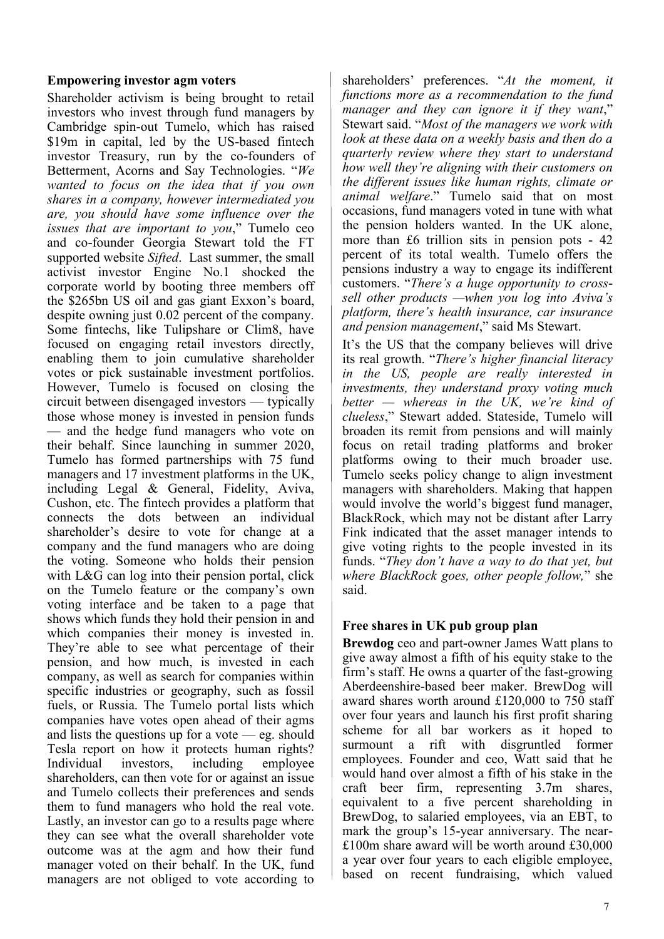### **Empowering investor agm voters**

Shareholder activism is being brought to retail investors who invest through fund managers by Cambridge spin-out Tumelo, which has raised \$19m in capital, led by the US-based fintech investor Treasury, run by the co-founders of Betterment, Acorns and Say Technologies. "*We wanted to focus on the idea that if you own shares in a company, however intermediated you are, you should have some influence over the issues that are important to you*," Tumelo ceo and co-founder Georgia Stewart told the FT supported website *Sifted*. Last summer, the small activist investor Engine No.1 shocked the corporate world by booting three members off the \$265bn US oil and gas giant Exxon's board, despite owning just 0.02 percent of the company. Some fintechs, like Tulipshare or Clim8, have focused on engaging retail investors directly, enabling them to join cumulative shareholder votes or pick sustainable investment portfolios. However, Tumelo is focused on closing the circuit between disengaged investors — typically those whose money is invested in pension funds — and the hedge fund managers who vote on their behalf. Since launching in summer 2020, Tumelo has formed partnerships with 75 fund managers and 17 investment platforms in the UK, including Legal & General, Fidelity, Aviva, Cushon, etc. The fintech provides a platform that connects the dots between an individual shareholder's desire to vote for change at a company and the fund managers who are doing the voting. Someone who holds their pension with L&G can log into their pension portal, click on the Tumelo feature or the company's own voting interface and be taken to a page that shows which funds they hold their pension in and which companies their money is invested in. They're able to see what percentage of their pension, and how much, is invested in each company, as well as search for companies within specific industries or geography, such as fossil fuels, or Russia. The Tumelo portal lists which companies have votes open ahead of their agms and lists the questions up for a vote  $-$  eg. should Tesla report on how it protects human rights? Individual investors, including employee shareholders, can then vote for or against an issue and Tumelo collects their preferences and sends them to fund managers who hold the real vote. Lastly, an investor can go to a results page where they can see what the overall shareholder vote outcome was at the agm and how their fund manager voted on their behalf. In the UK, fund managers are not obliged to vote according to

shareholders' preferences. "*At the moment, it functions more as a recommendation to the fund manager and they can ignore it if they want*," Stewart said. "*Most of the managers we work with look at these data on a weekly basis and then do a quarterly review where they start to understand how well they're aligning with their customers on the different issues like human rights, climate or animal welfare*." Tumelo said that on most occasions, fund managers voted in tune with what the pension holders wanted. In the UK alone, more than £6 trillion sits in pension pots - 42 percent of its total wealth. Tumelo offers the pensions industry a way to engage its indifferent customers. "*There's a huge opportunity to crosssell other products —when you log into Aviva's platform, there's health insurance, car insurance and pension management*," said Ms Stewart.

It's the US that the company believes will drive its real growth. "*There's higher financial literacy in the US, people are really interested in investments, they understand proxy voting much better — whereas in the UK, we're kind of clueless*," Stewart added. Stateside, Tumelo will broaden its remit from pensions and will mainly focus on retail trading platforms and broker platforms owing to their much broader use. Tumelo seeks policy change to align investment managers with shareholders. Making that happen would involve the world's biggest fund manager, BlackRock, which may not be distant after Larry Fink indicated that the asset manager intends to give voting rights to the people invested in its funds. "*They don't have a way to do that yet, but where BlackRock goes, other people follow,*" she said.

### **Free shares in UK pub group plan**

**Brewdog** ceo and part-owner James Watt plans to give away almost a fifth of his equity stake to the firm's staff. He owns a quarter of the fast-growing Aberdeenshire-based beer maker. BrewDog will award shares worth around £120,000 to 750 staff over four years and launch his first profit sharing scheme for all bar workers as it hoped to surmount a rift with disgruntled former employees. Founder and ceo, Watt said that he would hand over almost a fifth of his stake in the craft beer firm, representing 3.7m shares, equivalent to a five percent shareholding in BrewDog, to salaried employees, via an EBT, to mark the group's 15-year anniversary. The near- £100m share award will be worth around £30,000 a year over four years to each eligible employee, based on recent fundraising, which valued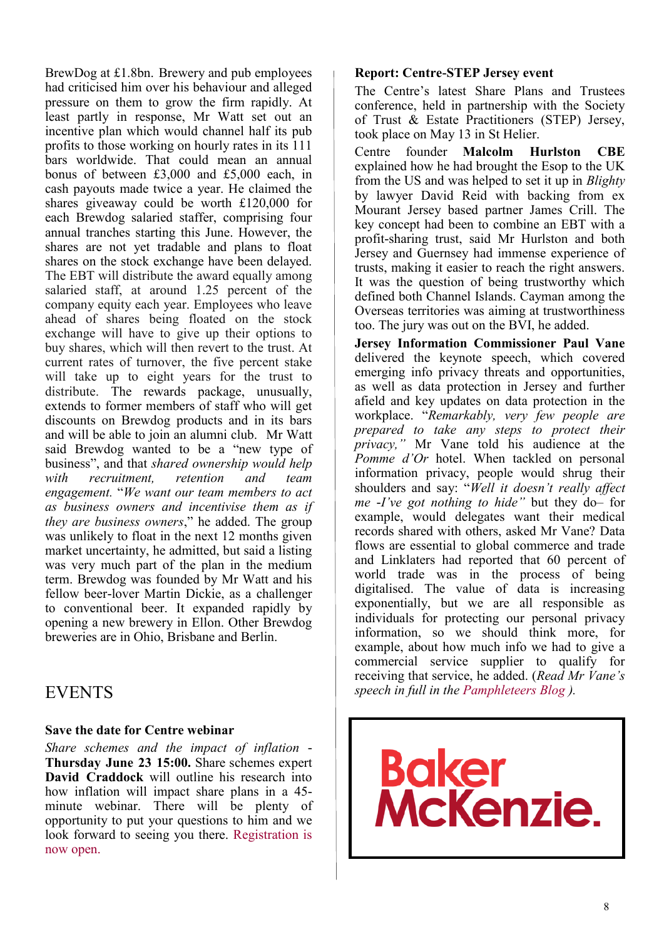BrewDog at £1.8bn. Brewery and pub employees had criticised him over his behaviour and alleged pressure on them to grow the firm rapidly. At least partly in response, Mr Watt set out an incentive plan which would channel half its pub profits to those working on hourly rates in its 111 bars worldwide. That could mean an annual bonus of between £3,000 and £5,000 each, in cash payouts made twice a year. He claimed the shares giveaway could be worth £120,000 for each Brewdog salaried staffer, comprising four annual tranches starting this June. However, the shares are not yet tradable and plans to float shares on the stock exchange have been delayed. The EBT will distribute the award equally among salaried staff, at around 1.25 percent of the company equity each year. Employees who leave ahead of shares being floated on the stock exchange will have to give up their options to buy shares, which will then revert to the trust. At current rates of turnover, the five percent stake will take up to eight years for the trust to distribute. The rewards package, unusually, extends to former members of staff who will get discounts on Brewdog products and in its bars and will be able to join an alumni club. Mr Watt said Brewdog wanted to be a "new type of business", and that *shared ownership would help with recruitment, retention and team engagement.* "*We want our team members to act as business owners and incentivise them as if they are business owners*," he added. The group was unlikely to float in the next 12 months given market uncertainty, he admitted, but said a listing was very much part of the plan in the medium term. Brewdog was founded by Mr Watt and his fellow beer-lover Martin Dickie, as a challenger to conventional beer. It expanded rapidly by opening a new brewery in Ellon. Other Brewdog breweries are in Ohio, Brisbane and Berlin.

### EVENTS

### **Save the date for Centre webinar**

*Share schemes and the impact of inflation* - **Thursday June 23 15:00.** Share schemes expert **David Craddock** will outline his research into how inflation will impact share plans in a 45 minute webinar. There will be plenty of opportunity to put your questions to him and we look forward to seeing you there. [Registration is](https://register.gotowebinar.com/register/6589202084559634704)  [now open.](https://register.gotowebinar.com/register/6589202084559634704)

### **Report: Centre-STEP Jersey event**

The Centre's latest Share Plans and Trustees conference, held in partnership with the Society of Trust & Estate Practitioners (STEP) Jersey, took place on May 13 in St Helier.

Centre founder **Malcolm Hurlston CBE**  explained how he had brought the Esop to the UK from the US and was helped to set it up in *Blighty* by lawyer David Reid with backing from ex Mourant Jersey based partner James Crill. The key concept had been to combine an EBT with a profit-sharing trust, said Mr Hurlston and both Jersey and Guernsey had immense experience of trusts, making it easier to reach the right answers. It was the question of being trustworthy which defined both Channel Islands. Cayman among the Overseas territories was aiming at trustworthiness too. The jury was out on the BVI, he added.

**Jersey Information Commissioner Paul Vane** delivered the keynote speech, which covered emerging info privacy threats and opportunities, as well as data protection in Jersey and further afield and key updates on data protection in the workplace. "*Remarkably, very few people are prepared to take any steps to protect their privacy,"* Mr Vane told his audience at the *Pomme d'Or* hotel. When tackled on personal information privacy, people would shrug their shoulders and say: "*Well it doesn't really affect me -I've got nothing to hide"* but they do– for example, would delegates want their medical records shared with others, asked Mr Vane? Data flows are essential to global commerce and trade and Linklaters had reported that 60 percent of world trade was in the process of being digitalised. The value of data is increasing exponentially, but we are all responsible as individuals for protecting our personal privacy information, so we should think more, for example, about how much info we had to give a commercial service supplier to qualify for receiving that service, he added. (*Read Mr Vane's speech in full in the [Pamphleteers Blog](https://www.longfinance.net/news/pamphleteers/data-protection-regulation-emerging-threats-and-opportunities/) ).*

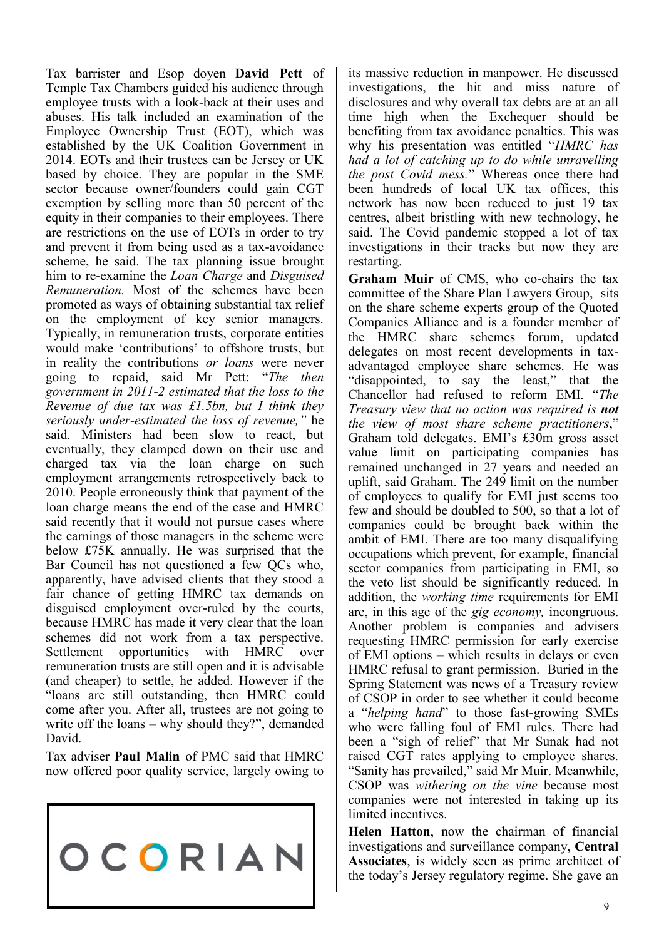Tax barrister and Esop doyen **David Pett** of Temple Tax Chambers guided his audience through employee trusts with a look-back at their uses and abuses. His talk included an examination of the Employee Ownership Trust (EOT), which was established by the UK Coalition Government in 2014. EOTs and their trustees can be Jersey or UK based by choice. They are popular in the SME sector because owner/founders could gain CGT exemption by selling more than 50 percent of the equity in their companies to their employees. There are restrictions on the use of EOTs in order to try and prevent it from being used as a tax-avoidance scheme, he said. The tax planning issue brought him to re-examine the *Loan Charge* and *Disguised Remuneration.* Most of the schemes have been promoted as ways of obtaining substantial tax relief on the employment of key senior managers. Typically, in remuneration trusts, corporate entities would make 'contributions' to offshore trusts, but in reality the contributions *or loans* were never going to repaid, said Mr Pett: "*The then government in 2011-2 estimated that the loss to the Revenue of due tax was £1.5bn, but I think they seriously under-estimated the loss of revenue,"* he said. Ministers had been slow to react, but eventually, they clamped down on their use and charged tax via the loan charge on such employment arrangements retrospectively back to 2010. People erroneously think that payment of the loan charge means the end of the case and HMRC said recently that it would not pursue cases where the earnings of those managers in the scheme were below £75K annually. He was surprised that the Bar Council has not questioned a few QCs who, apparently, have advised clients that they stood a fair chance of getting HMRC tax demands on disguised employment over-ruled by the courts, because HMRC has made it very clear that the loan schemes did not work from a tax perspective. Settlement opportunities with HMRC over remuneration trusts are still open and it is advisable (and cheaper) to settle, he added. However if the "loans are still outstanding, then HMRC could come after you. After all, trustees are not going to write off the loans – why should they?", demanded David.

Tax adviser **Paul Malin** of PMC said that HMRC now offered poor quality service, largely owing to



its massive reduction in manpower. He discussed investigations, the hit and miss nature of disclosures and why overall tax debts are at an all time high when the Exchequer should be benefiting from tax avoidance penalties. This was why his presentation was entitled "*HMRC has had a lot of catching up to do while unravelling the post Covid mess.*" Whereas once there had been hundreds of local UK tax offices, this network has now been reduced to just 19 tax centres, albeit bristling with new technology, he said. The Covid pandemic stopped a lot of tax investigations in their tracks but now they are restarting.

**Graham Muir** of CMS, who co-chairs the tax committee of the Share Plan Lawyers Group, sits on the share scheme experts group of the Quoted Companies Alliance and is a founder member of the HMRC share schemes forum, updated delegates on most recent developments in taxadvantaged employee share schemes. He was "disappointed, to say the least," that the Chancellor had refused to reform EMI. "*The Treasury view that no action was required is not the view of most share scheme practitioners*," Graham told delegates. EMI's £30m gross asset value limit on participating companies has remained unchanged in 27 years and needed an uplift, said Graham. The 249 limit on the number of employees to qualify for EMI just seems too few and should be doubled to 500, so that a lot of companies could be brought back within the ambit of EMI. There are too many disqualifying occupations which prevent, for example, financial sector companies from participating in EMI, so the veto list should be significantly reduced. In addition, the *working time* requirements for EMI are, in this age of the *gig economy,* incongruous. Another problem is companies and advisers requesting HMRC permission for early exercise of EMI options – which results in delays or even HMRC refusal to grant permission. Buried in the Spring Statement was news of a Treasury review of CSOP in order to see whether it could become a "*helping hand*" to those fast-growing SMEs who were falling foul of EMI rules. There had been a "sigh of relief" that Mr Sunak had not raised CGT rates applying to employee shares. "Sanity has prevailed," said Mr Muir. Meanwhile, CSOP was *withering on the vine* because most companies were not interested in taking up its limited incentives.

**Helen Hatton**, now the chairman of financial investigations and surveillance company, **Central Associates**, is widely seen as prime architect of the today's Jersey regulatory regime. She gave an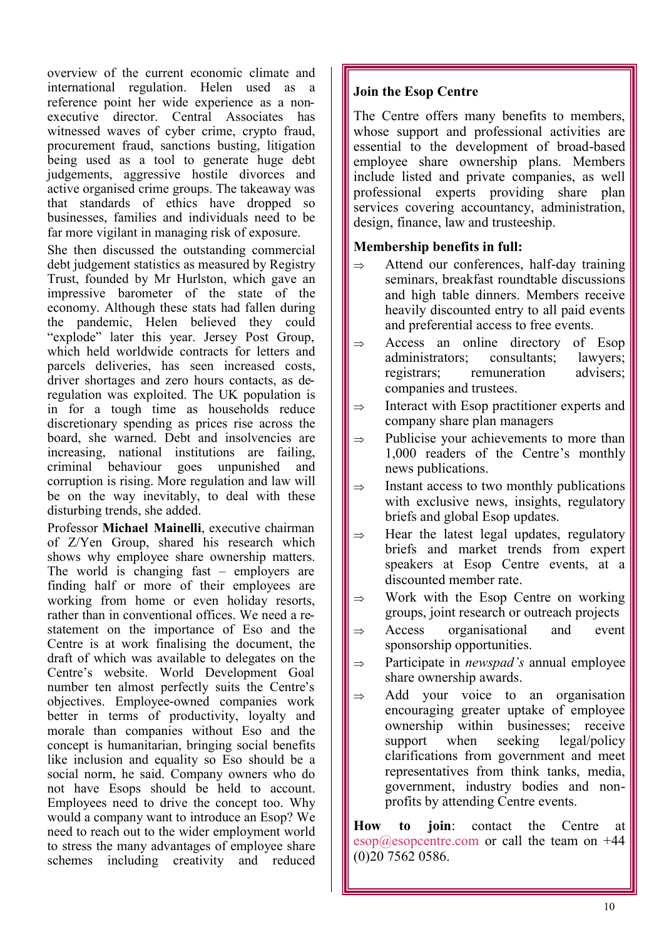overview of the current economic climate and international regulation. Helen used as a reference point her wide experience as a nonexecutive director. Central Associates has witnessed waves of cyber crime, crypto fraud, procurement fraud, sanctions busting, litigation being used as a tool to generate huge debt judgements, aggressive hostile divorces and active organised crime groups. The takeaway was that standards of ethics have dropped so businesses, families and individuals need to be far more vigilant in managing risk of exposure.

She then discussed the outstanding commercial debt judgement statistics as measured by Registry Trust, founded by Mr Hurlston, which gave an impressive barometer of the state of the economy. Although these stats had fallen during the pandemic, Helen believed they could "explode" later this year. Jersey Post Group, which held worldwide contracts for letters and parcels deliveries, has seen increased costs, driver shortages and zero hours contacts, as deregulation was exploited. The UK population is in for a tough time as households reduce discretionary spending as prices rise across the board, she warned. Debt and insolvencies are increasing, national institutions are failing, criminal behaviour goes unpunished and corruption is rising. More regulation and law will be on the way inevitably, to deal with these disturbing trends, she added.

Professor **Michael Mainelli**, executive chairman of Z/Yen Group, shared his research which shows why employee share ownership matters. The world is changing fast – employers are finding half or more of their employees are working from home or even holiday resorts, rather than in conventional offices. We need a restatement on the importance of Eso and the Centre is at work finalising the document, the draft of which was available to delegates on the Centre's website. World Development Goal number ten almost perfectly suits the Centre's objectives. Employee-owned companies work better in terms of productivity, loyalty and morale than companies without Eso and the concept is humanitarian, bringing social benefits like inclusion and equality so Eso should be a social norm, he said. Company owners who do not have Esops should be held to account. Employees need to drive the concept too. Why would a company want to introduce an Esop? We need to reach out to the wider employment world to stress the many advantages of employee share schemes including creativity and reduced

### **Join the Esop Centre**

The Centre offers many benefits to members, whose support and professional activities are essential to the development of broad-based employee share ownership plans. Members include listed and private companies, as well professional experts providing share plan services covering accountancy, administration, design, finance, law and trusteeship.

### **Membership benefits in full:**

- $\Rightarrow$  Attend our conferences, half-day training seminars, breakfast roundtable discussions and high table dinners. Members receive heavily discounted entry to all paid events and preferential access to free events.
- $\Rightarrow$  Access an online directory of Esop administrators; consultants; lawyers; registrars; remuneration advisers; companies and trustees.
- $\Rightarrow$  Interact with Esop practitioner experts and company share plan managers
- $\Rightarrow$  Publicise your achievements to more than 1,000 readers of the Centre's monthly news publications.
- $\Rightarrow$  Instant access to two monthly publications with exclusive news, insights, regulatory briefs and global Esop updates.
- $\Rightarrow$  Hear the latest legal updates, regulatory briefs and market trends from expert speakers at Esop Centre events, at a discounted member rate.
- $\Rightarrow$  Work with the Esop Centre on working groups, joint research or outreach projects
- $\Rightarrow$  Access organisational and event sponsorship opportunities.
- $\Rightarrow$  Participate in *newspad's* annual employee share ownership awards.
- $\Rightarrow$  Add your voice to an organisation encouraging greater uptake of employee ownership within businesses; receive support when seeking legal/policy clarifications from government and meet representatives from think tanks, media, government, industry bodies and nonprofits by attending Centre events.

**How to join**: contact the Centre at  $\cos \theta$  esop $\hat{\omega}$ esopcentre.com or call the team on +44 (0)20 7562 0586.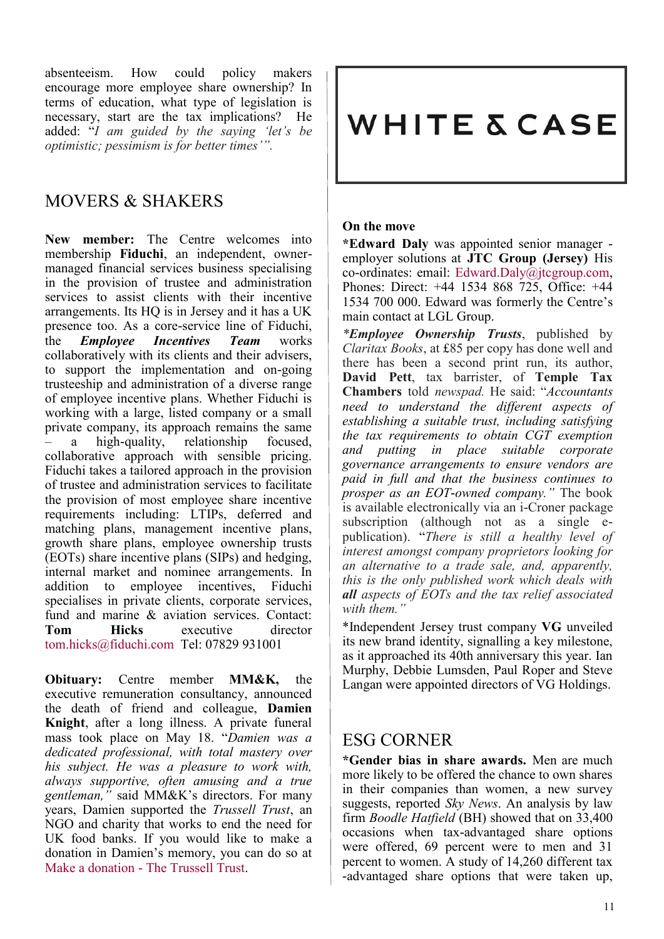absenteeism. How could policy makers encourage more employee share ownership? In terms of education, what type of legislation is necessary, start are the tax implications? He added: "*I am guided by the saying 'let's be optimistic; pessimism is for better times'".* 

### MOVERS & SHAKERS

**New member:** The Centre welcomes into membership **Fiduchi**, an independent, ownermanaged financial services business specialising in the provision of trustee and administration services to assist clients with their incentive arrangements. Its HQ is in Jersey and it has a UK presence too. As a core-service line of Fiduchi, the *Employee Incentives Team* works collaboratively with its clients and their advisers, to support the implementation and on-going trusteeship and administration of a diverse range of employee incentive plans. Whether Fiduchi is working with a large, listed company or a small private company, its approach remains the same – a high-quality, relationship focused, collaborative approach with sensible pricing. Fiduchi takes a tailored approach in the provision of trustee and administration services to facilitate the provision of most employee share incentive requirements including: LTIPs, deferred and matching plans, management incentive plans, growth share plans, employee ownership trusts (EOTs) share incentive plans (SIPs) and hedging, internal market and nominee arrangements. In addition to employee incentives, Fiduchi specialises in private clients, corporate services, fund and marine & aviation services. Contact: **Tom Hicks** executive director [tom.hicks@fiduchi.com](mailto:tom.hicks@fiduchi.com) Tel: 07829 931001

**Obituary:** Centre member **MM&K,** the executive remuneration consultancy, announced the death of friend and colleague, **Damien Knight**, after a long illness. A private funeral mass took place on May 18. "*Damien was a dedicated professional, with total mastery over his subject. He was a pleasure to work with, always supportive, often amusing and a true gentleman,"* said MM&K's directors. For many years, Damien supported the *Trussell Trust*, an NGO and charity that works to end the need for UK food banks. If you would like to make a donation in Damien's memory, you can do so at Make a donation - [The Trussell Trust.](https://mm-k.us12.list-manage.com/track/click?u=d020d5de7209cdc19f8e8d666&id=c196114394&e=fcda013b7e)

# **WHITE & CASE**

### **On the move**

**\*Edward Daly** was appointed senior manager employer solutions at **JTC Group (Jersey)** His co-ordinates: email: [Edward.Daly@jtcgroup.com,](mailto:Edward.Daly@jtcgroup.com)  Phones: Direct: +44 1534 868 725, Office: +44 1534 700 000. Edward was formerly the Centre's main contact at LGL Group.

*\*Employee Ownership Trusts*, published by *Claritax Books*, at £85 per copy has done well and there has been a second print run, its author, **David Pett**, tax barrister, of **Temple Tax Chambers** told *newspad.* He said: "*Accountants need to understand the different aspects of establishing a suitable trust, including satisfying the tax requirements to obtain CGT exemption and putting in place suitable corporate governance arrangements to ensure vendors are paid in full and that the business continues to prosper as an EOT-owned company."* The book is available electronically via an i-Croner package subscription (although not as a single epublication). "*There is still a healthy level of interest amongst company proprietors looking for an alternative to a trade sale, and, apparently, this is the only published work which deals with all aspects of EOTs and the tax relief associated with them."*

\*Independent Jersey trust company **VG** unveiled its new brand identity, signalling a key milestone, as it approached its 40th anniversary this year. Ian Murphy, Debbie Lumsden, Paul Roper and Steve Langan were appointed directors of VG Holdings.

### ESG CORNER

**\*Gender bias in share awards.** Men are much more likely to be offered the chance to own shares in their companies than women, a new survey suggests, reported *Sky News*. An analysis by law firm *Boodle Hatfield* (BH) showed that on 33,400 occasions when tax-advantaged share options were offered, 69 percent were to men and 31 percent to women. A study of 14,260 different tax -advantaged share options that were taken up,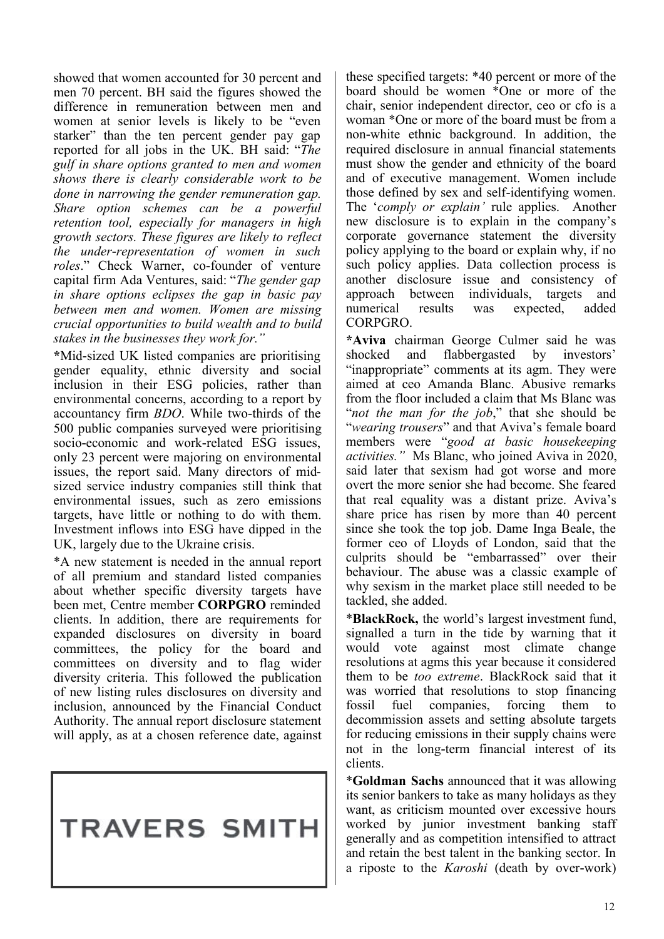showed that women accounted for 30 percent and men 70 percent. BH said the figures showed the difference in remuneration between men and women at senior levels is likely to be "even starker" than the ten percent gender pay gap reported for all jobs in the UK. BH said: "*The gulf in share options granted to men and women shows there is clearly considerable work to be done in narrowing the gender remuneration gap. Share option schemes can be a powerful retention tool, especially for managers in high growth sectors. These figures are likely to reflect the under-representation of women in such roles*." Check Warner, co-founder of venture capital firm Ada Ventures, said: "*The gender gap in share options eclipses the gap in basic pay between men and women. Women are missing crucial opportunities to build wealth and to build stakes in the businesses they work for."*

**\***Mid-sized UK listed companies are prioritising gender equality, ethnic diversity and social inclusion in their ESG policies, rather than environmental concerns, according to a report by accountancy firm *BDO*. While two-thirds of the 500 public companies surveyed were prioritising socio-economic and work-related ESG issues, only 23 percent were majoring on environmental issues, the report said. Many directors of midsized service industry companies still think that environmental issues, such as zero emissions targets, have little or nothing to do with them. Investment inflows into ESG have dipped in the UK, largely due to the Ukraine crisis.

\*A new statement is needed in the annual report of all premium and standard listed companies about whether specific diversity targets have been met, Centre member **CORPGRO** reminded clients. In addition, there are requirements for expanded disclosures on diversity in board committees, the policy for the board and committees on diversity and to flag wider diversity criteria. This followed the publication of new listing rules disclosures on diversity and inclusion, announced by the Financial Conduct Authority. The annual report disclosure statement will apply, as at a chosen reference date, against

# **TRAVERS SMITH**

these specified targets: \*40 percent or more of the board should be women \*One or more of the chair, senior independent director, ceo or cfo is a woman \*One or more of the board must be from a non-white ethnic background. In addition, the required disclosure in annual financial statements must show the gender and ethnicity of the board and of executive management. Women include those defined by sex and self-identifying women. The '*comply or explain'* rule applies. Another new disclosure is to explain in the company's corporate governance statement the diversity policy applying to the board or explain why, if no such policy applies. Data collection process is another disclosure issue and consistency of approach between individuals, targets and numerical results was expected, added CORPGRO.

**\*Aviva** chairman George Culmer said he was shocked and flabbergasted by investors' "inappropriate" comments at its agm. They were aimed at ceo Amanda Blanc. Abusive remarks from the floor included a claim that Ms Blanc was "*not the man for the job*," that she should be "*wearing trousers*" and that Aviva's female board members were "*good at basic housekeeping activities."* Ms Blanc, who joined Aviva in 2020, said later that sexism had got worse and more overt the more senior she had become. She feared that real equality was a distant prize. Aviva's share price has risen by more than 40 percent since she took the top job. Dame Inga Beale, the former ceo of Lloyds of London, said that the culprits should be "embarrassed" over their behaviour. The abuse was a classic example of why sexism in the market place still needed to be tackled, she added.

\***BlackRock,** the world's largest investment fund, signalled a turn in the tide by warning that it would vote against most climate change resolutions at agms this year because it considered them to be *too extreme*. BlackRock said that it was worried that resolutions to stop financing fossil fuel companies, forcing them to decommission assets and setting absolute targets for reducing emissions in their supply chains were not in the long-term financial interest of its clients.

\***Goldman Sachs** announced that it was allowing its senior bankers to take as many holidays as they want, as criticism mounted over excessive hours worked by junior investment banking staff generally and as competition intensified to attract and retain the best talent in the banking sector. In a riposte to the *Karoshi* (death by over-work)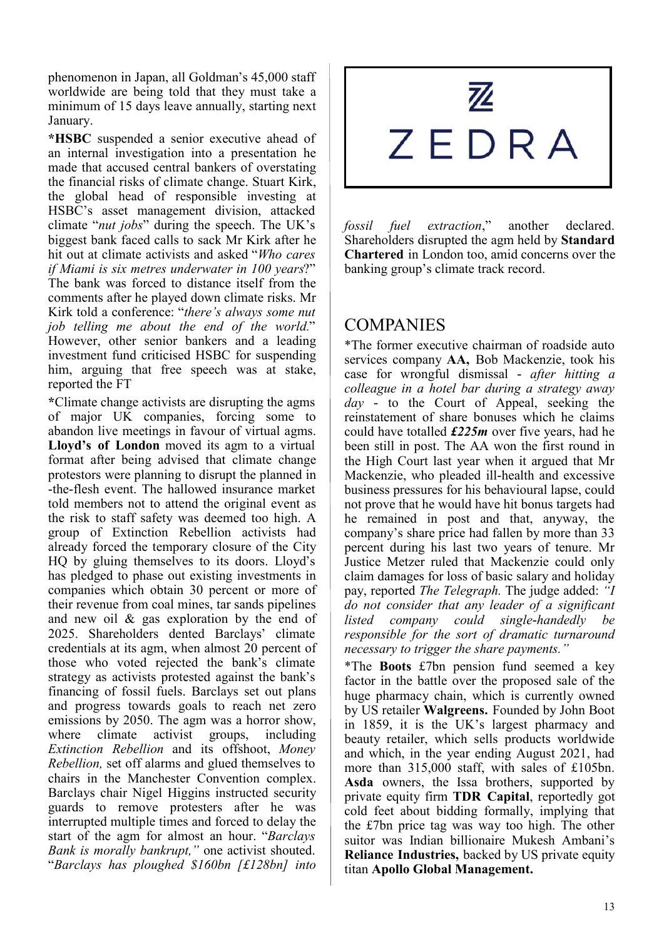phenomenon in Japan, all Goldman's 45,000 staff worldwide are being told that they must take a minimum of 15 days leave annually, starting next January.

**\*HSBC** suspended a senior executive ahead of an internal investigation into a presentation he made that accused central bankers of overstating the financial risks of climate change. Stuart Kirk, the global head of responsible investing at HSBC's asset management division, attacked climate "*nut jobs*" during the speech. The UK's biggest bank faced calls to sack Mr Kirk after he hit out at climate activists and asked "*Who cares if Miami is six metres underwater in 100 years*?" The bank was forced to distance itself from the comments after he played down climate risks. Mr Kirk told a conference: "*there's always some nut job telling me about the end of the world.*" However, other senior bankers and a leading investment fund criticised HSBC for suspending him, arguing that free speech was at stake, reported the FT

**\***Climate change activists are disrupting the agms of major UK companies, forcing some to abandon live meetings in favour of virtual agms. **Lloyd's of London** moved its agm to a virtual format after being advised that climate change protestors were planning to disrupt the planned in -the-flesh event. The hallowed insurance market told members not to attend the original event as the risk to staff safety was deemed too high. A group of Extinction Rebellion activists had already forced the temporary closure of the City HQ by gluing themselves to its doors. Lloyd's has pledged to phase out existing investments in companies which obtain 30 percent or more of their revenue from coal mines, tar sands pipelines and new oil & gas exploration by the end of 2025. Shareholders dented Barclays' climate credentials at its agm, when almost 20 percent of those who voted rejected the bank's climate strategy as activists protested against the bank's financing of fossil fuels. Barclays set out plans and progress towards goals to reach net zero emissions by 2050. The agm was a horror show, where climate activist groups, including *Extinction Rebellion* and its offshoot, *Money Rebellion,* set off alarms and glued themselves to chairs in the Manchester Convention complex. Barclays chair Nigel Higgins instructed security guards to remove protesters after he was interrupted multiple times and forced to delay the start of the agm for almost an hour. "*Barclays Bank is morally bankrupt,"* one activist shouted. "*Barclays has ploughed \$160bn [£128bn] into* 

# $\mathbb{Z}$ ZEDRA

*fossil fuel extraction*," another declared. Shareholders disrupted the agm held by **Standard Chartered** in London too, amid concerns over the banking group's climate track record.

### **COMPANIES**

\*The former executive chairman of roadside auto services company **AA,** Bob Mackenzie, took his case for wrongful dismissal - *after hitting a colleague in a hotel bar during a strategy away day* - to the Court of Appeal, seeking the reinstatement of share bonuses which he claims could have totalled *£225m* over five years, had he been still in post. The AA won the first round in the High Court last year when it argued that Mr Mackenzie, who pleaded ill-health and excessive business pressures for his behavioural lapse, could not prove that he would have hit bonus targets had he remained in post and that, anyway, the company's share price had fallen by more than 33 percent during his last two years of tenure. Mr Justice Metzer ruled that Mackenzie could only claim damages for loss of basic salary and holiday pay, reported *The Telegraph.* The judge added: *"I do not consider that any leader of a significant listed company could single-handedly be responsible for the sort of dramatic turnaround necessary to trigger the share payments."*

\*The **Boots** £7bn pension fund seemed a key factor in the battle over the proposed sale of the huge pharmacy chain, which is currently owned by US retailer **Walgreens.** Founded by John Boot in 1859, it is the UK's largest pharmacy and beauty retailer, which sells products worldwide and which, in the year ending August 2021, had more than 315,000 staff, with sales of £105bn. **Asda** owners, the Issa brothers, supported by private equity firm **TDR Capital**, reportedly got cold feet about bidding formally, implying that the £7bn price tag was way too high. The other suitor was Indian billionaire Mukesh Ambani's **Reliance Industries,** backed by US private equity titan **Apollo Global Management.**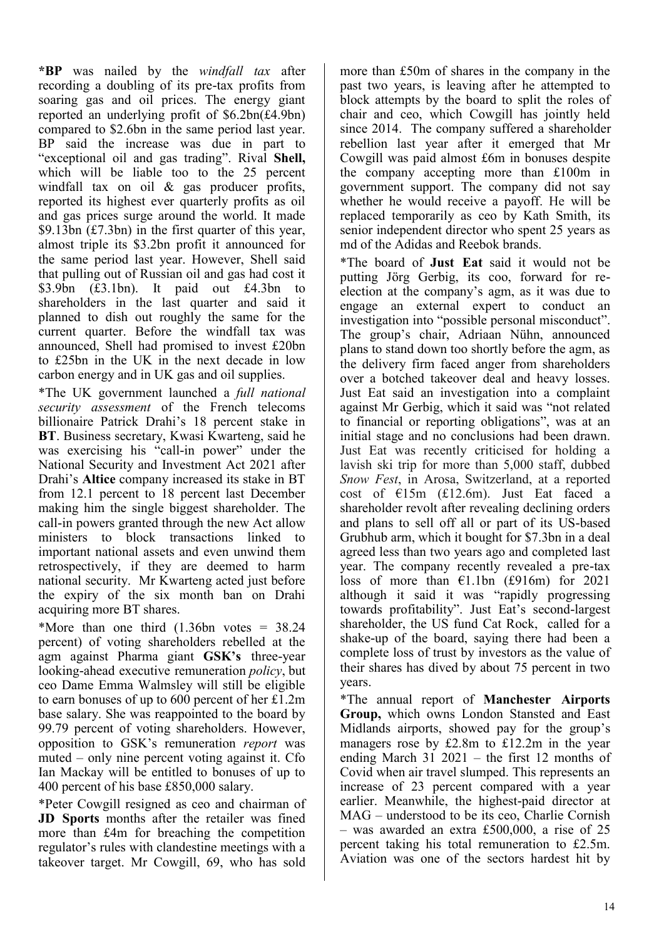**\*BP** was nailed by the *windfall tax* after recording a doubling of its pre-tax profits from soaring gas and oil prices. The energy giant reported an underlying profit of \$6.2bn(£4.9bn) compared to \$2.6bn in the same period last year. BP said the increase was due in part to "exceptional oil and gas trading". Rival **Shell,**  which will be liable too to the 25 percent windfall tax on oil & gas producer profits, reported its highest ever quarterly profits as oil and gas prices surge around the world. It made \$9.13bn (£7.3bn) in the first quarter of this year, almost triple its \$3.2bn profit it announced for the same period last year. However, Shell said that pulling out of Russian oil and gas had cost it \$3.9bn (£3.1bn). It paid out £4.3bn to shareholders in the last quarter and said it planned to dish out roughly the same for the current quarter. Before the windfall tax was announced, Shell had promised to invest £20bn to £25bn in the UK in the next decade in low carbon energy and in UK gas and oil supplies.

\*The UK government launched a *full national security assessment* of the French telecoms billionaire Patrick Drahi's 18 percent stake in **BT**. Business secretary, Kwasi Kwarteng, said he was exercising his "call-in power" under the National Security and Investment Act 2021 after Drahi's **Altice** company increased its stake in BT from 12.1 percent to 18 percent last December making him the single biggest shareholder. The call-in powers granted through the new Act allow ministers to block transactions linked to important national assets and even unwind them retrospectively, if they are deemed to harm national security. Mr Kwarteng acted just before the expiry of the six month ban on Drahi acquiring more BT shares.

\*More than one third  $(1.36bn \t)$  votes = 38.24 percent) of voting shareholders rebelled at the agm against Pharma giant **GSK's** three-year looking-ahead executive remuneration *policy*, but ceo Dame Emma Walmsley will still be eligible to earn bonuses of up to 600 percent of her £1.2m base salary. She was reappointed to the board by 99.79 percent of voting shareholders. However, opposition to GSK's remuneration *report* was muted – only nine percent voting against it. Cfo Ian Mackay will be entitled to bonuses of up to 400 percent of his base £850,000 salary.

\*Peter Cowgill resigned as ceo and chairman of **JD Sports** months after the retailer was fined more than £4m for breaching the competition regulator's rules with clandestine meetings with a takeover target. Mr Cowgill, 69, who has sold more than £50m of shares in the company in the past two years, is leaving after he attempted to block attempts by the board to split the roles of chair and ceo, which Cowgill has jointly held since 2014. The company suffered a shareholder rebellion last year after it emerged that Mr Cowgill was paid almost £6m in bonuses despite the company accepting more than £100m in government support. The company did not say whether he would receive a payoff. He will be replaced temporarily as ceo by Kath Smith, its senior independent director who spent 25 years as md of the Adidas and Reebok brands.

\*The board of **Just Eat** said it would not be putting Jörg Gerbig, its coo, forward for reelection at the company's agm, as it was due to engage an external expert to conduct an investigation into "possible personal misconduct". The group's chair, Adriaan Nühn, announced plans to stand down too shortly before the agm, as the delivery firm faced anger from shareholders over a botched takeover deal and heavy losses. Just Eat said an investigation into a complaint against Mr Gerbig, which it said was "not related to financial or reporting obligations", was at an initial stage and no conclusions had been drawn. Just Eat was recently criticised for holding a lavish ski trip for more than 5,000 staff, dubbed *Snow Fest*, in Arosa, Switzerland, at a reported cost of €15m (£12.6m). Just Eat faced a shareholder revolt after revealing declining orders and plans to sell off all or part of its US-based Grubhub arm, which it bought for \$7.3bn in a deal agreed less than two years ago and completed last year. The company recently revealed a pre-tax loss of more than €1.1bn (£916m) for 2021 although it said it was "rapidly progressing towards profitability". Just Eat's second-largest shareholder, the US fund Cat Rock, called for a shake-up of the board, saying there had been a complete loss of trust by investors as the value of their shares has dived by about 75 percent in two years.

\*The annual report of **Manchester Airports Group,** which owns London Stansted and East Midlands airports, showed pay for the group's managers rose by £2.8m to £12.2m in the year ending March 31 2021 – the first 12 months of Covid when air travel slumped. This represents an increase of 23 percent compared with a year earlier. Meanwhile, the highest-paid director at MAG – understood to be its ceo, Charlie Cornish – was awarded an extra £500,000, a rise of 25 percent taking his total remuneration to £2.5m. Aviation was one of the sectors hardest hit by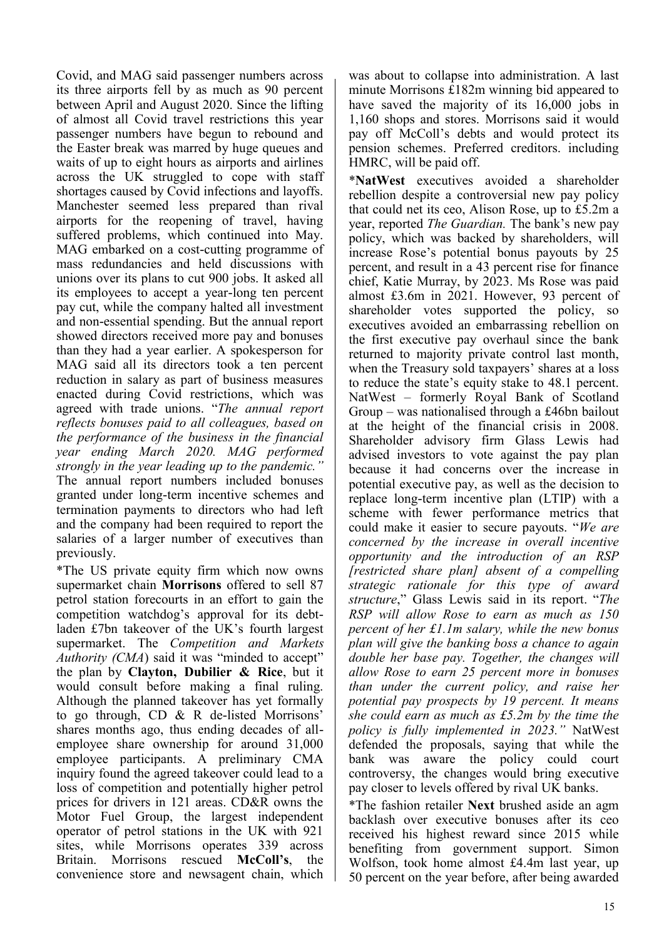Covid, and MAG said passenger numbers across its three airports fell by as much as 90 percent between April and August 2020. Since the lifting of almost all Covid travel restrictions this year passenger numbers have begun to rebound and the Easter break was marred by huge queues and waits of up to eight hours as airports and airlines across the UK struggled to cope with staff shortages caused by Covid infections and layoffs. Manchester seemed less prepared than rival airports for the reopening of travel, having suffered problems, which continued into May. MAG embarked on a cost-cutting programme of mass redundancies and held discussions with unions over its plans to cut 900 jobs. It asked all its employees to accept a year-long ten percent pay cut, while the company halted all investment and non-essential spending. But the annual report showed directors received more pay and bonuses than they had a year earlier. A spokesperson for MAG said all its directors took a ten percent reduction in salary as part of business measures enacted during Covid restrictions, which was agreed with trade unions. "*The annual report reflects bonuses paid to all colleagues, based on the performance of the business in the financial year ending March 2020. MAG performed strongly in the year leading up to the pandemic."* The annual report numbers included bonuses granted under long-term incentive schemes and termination payments to directors who had left and the company had been required to report the salaries of a larger number of executives than previously.

\*The US private equity firm which now owns supermarket chain **Morrisons** offered to sell 87 petrol station forecourts in an effort to gain the competition watchdog's approval for its debtladen £7bn takeover of the UK's fourth largest supermarket. The *Competition and Markets*  Authority (CMA) said it was "minded to accept" the plan by **Clayton, Dubilier & Rice**, but it would consult before making a final ruling. Although the planned takeover has yet formally to go through, CD & R de-listed Morrisons' shares months ago, thus ending decades of allemployee share ownership for around 31,000 employee participants. A preliminary CMA inquiry found the agreed takeover could lead to a loss of competition and potentially higher petrol prices for drivers in 121 areas. CD&R owns the Motor Fuel Group, the largest independent operator of petrol stations in the UK with 921 sites, while Morrisons operates 339 across Britain. Morrisons rescued **McColl's**, the convenience store and newsagent chain, which

was about to collapse into administration. A last minute Morrisons £182m winning bid appeared to have saved the majority of its 16,000 jobs in 1,160 shops and stores. Morrisons said it would pay off McColl's debts and would protect its pension schemes. Preferred creditors. including HMRC, will be paid off.

\***NatWest** executives avoided a shareholder rebellion despite a controversial new pay policy that could net its ceo, Alison Rose, up to £5.2m a year, reported *The Guardian.* The bank's new pay policy, which was backed by shareholders, will increase Rose's potential bonus payouts by 25 percent, and result in a 43 percent rise for finance chief, Katie Murray, by 2023. Ms Rose was paid almost £3.6m in 2021. However, 93 percent of shareholder votes supported the policy, so executives avoided an embarrassing rebellion on the first executive pay overhaul since the bank returned to majority private control last month, when the Treasury sold taxpayers' shares at a loss to reduce the state's equity stake to 48.1 percent. NatWest – formerly Royal Bank of Scotland Group – was nationalised through a £46bn bailout at the height of the financial crisis in 2008. Shareholder advisory firm Glass Lewis had advised investors to vote against the pay plan because it had concerns over the increase in potential executive pay, as well as the decision to replace long-term incentive plan (LTIP) with a scheme with fewer performance metrics that could make it easier to secure payouts. "*We are concerned by the increase in overall incentive opportunity and the introduction of an RSP [restricted share plan] absent of a compelling strategic rationale for this type of award structure*," Glass Lewis said in its report. "*The RSP will allow Rose to earn as much as 150 percent of her £1.1m salary, while the new bonus plan will give the banking boss a chance to again double her base pay. Together, the changes will allow Rose to earn 25 percent more in bonuses than under the current policy, and raise her potential pay prospects by 19 percent. It means she could earn as much as £5.2m by the time the policy is fully implemented in 2023."* NatWest defended the proposals, saying that while the bank was aware the policy could court controversy, the changes would bring executive pay closer to levels offered by rival UK banks.

\*The fashion retailer **Next** brushed aside an agm backlash over executive bonuses after its ceo received his highest reward since 2015 while benefiting from government support. Simon Wolfson, took home almost £4.4m last year, up 50 percent on the year before, after being awarded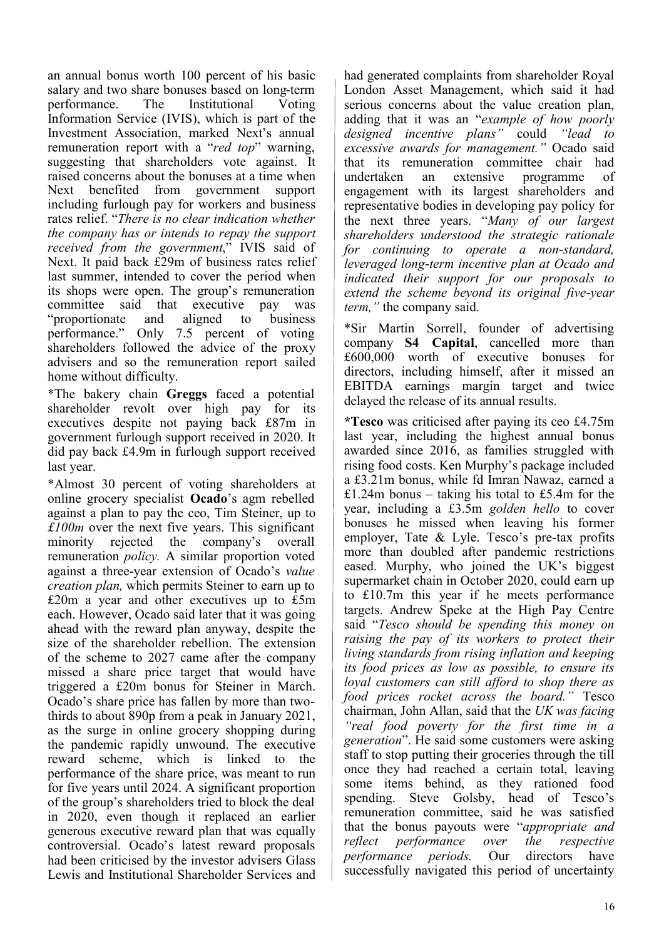an annual bonus worth 100 percent of his basic salary and two share bonuses based on long-term performance. The Institutional Voting Information Service (IVIS), which is part of the Investment Association, marked Next's annual remuneration report with a "*red top*" warning, suggesting that shareholders vote against. It raised concerns about the bonuses at a time when Next benefited from government support including furlough pay for workers and business rates relief. "*There is no clear indication whether the company has or intends to repay the support received from the government*," IVIS said of Next. It paid back £29m of business rates relief last summer, intended to cover the period when its shops were open. The group's remuneration committee said that executive pay was "proportionate and aligned to business performance." Only 7.5 percent of voting shareholders followed the advice of the proxy advisers and so the remuneration report sailed home without difficulty.

\*The bakery chain **Greggs** faced a potential shareholder revolt over high pay for its executives despite not paying back £87m in government furlough support received in 2020. It did pay back £4.9m in furlough support received last year.

\*Almost 30 percent of voting shareholders at online grocery specialist **Ocado**'s agm rebelled against a plan to pay the ceo, Tim Steiner, up to *£100m* over the next five years. This significant minority rejected the company's overall remuneration *policy.* A similar proportion voted against a three-year extension of Ocado's *value creation plan,* which permits Steiner to earn up to £20m a year and other executives up to £5m each. However, Ocado said later that it was going ahead with the reward plan anyway, despite the size of the shareholder rebellion. The extension of the scheme to 2027 came after the company missed a share price target that would have triggered a £20m bonus for Steiner in March. Ocado's share price has fallen by more than twothirds to about 890p from a peak in January 2021, as the surge in online grocery shopping during the pandemic rapidly unwound. The executive reward scheme, which is linked to the performance of the share price, was meant to run for five years until 2024. A significant proportion of the group's shareholders tried to block the deal in 2020, even though it replaced an earlier generous executive reward plan that was equally controversial. Ocado's latest reward proposals had been criticised by the investor advisers Glass Lewis and Institutional Shareholder Services and had generated complaints from shareholder Royal London Asset Management, which said it had serious concerns about the value creation plan, adding that it was an "*example of how poorly designed incentive plans"* could *"lead to excessive awards for management."* Ocado said that its remuneration committee chair had undertaken an extensive programme of engagement with its largest shareholders and representative bodies in developing pay policy for the next three years. "*Many of our largest shareholders understood the strategic rationale for continuing to operate a non-standard, leveraged long-term incentive plan at Ocado and indicated their support for our proposals to extend the scheme beyond its original five-year term,"* the company said.

\*Sir Martin Sorrell, founder of advertising company **S4 Capital**, cancelled more than £600,000 worth of executive bonuses for directors, including himself, after it missed an EBITDA earnings margin target and twice delayed the release of its annual results.

**\*Tesco** was criticised after paying its ceo £4.75m last year, including the highest annual bonus awarded since 2016, as families struggled with rising food costs. Ken Murphy's package included a £3.21m bonus, while fd Imran Nawaz, earned a £1.24m bonus – taking his total to £5.4m for the year, including a £3.5m *golden hello* to cover bonuses he missed when leaving his former employer, Tate & Lyle. Tesco's pre-tax profits more than doubled after pandemic restrictions eased. Murphy, who joined the UK's biggest supermarket chain in October 2020, could earn up to £10.7m this year if he meets performance targets. Andrew Speke at the High Pay Centre said "*Tesco should be spending this money on raising the pay of its workers to protect their living standards from rising inflation and keeping its food prices as low as possible, to ensure its loyal customers can still afford to shop there as food prices rocket across the board."* Tesco chairman, John Allan, said that the *UK was facing "real food poverty for the first time in a generation*". He said some customers were asking staff to stop putting their groceries through the till once they had reached a certain total, leaving some items behind, as they rationed food spending. Steve Golsby, head of Tesco's remuneration committee, said he was satisfied that the bonus payouts were "*appropriate and reflect performance over the respective performance periods.* Our directors have successfully navigated this period of uncertainty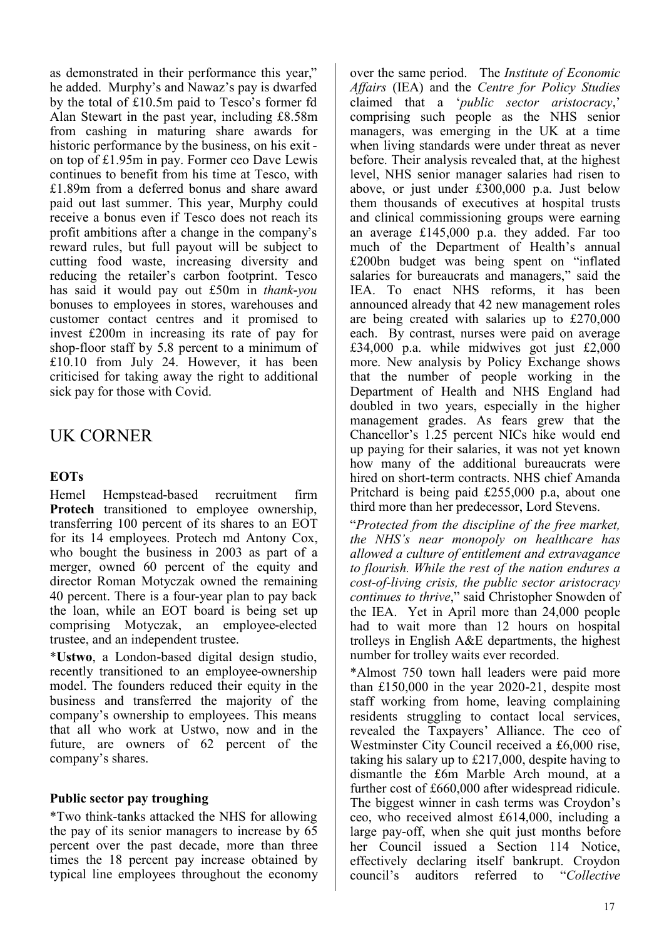as demonstrated in their performance this year," he added. Murphy's and Nawaz's pay is dwarfed by the total of £10.5m paid to Tesco's former fd Alan Stewart in the past year, including £8.58m from cashing in maturing share awards for historic performance by the business, on his exit on top of £1.95m in pay. Former ceo Dave Lewis continues to benefit from his time at Tesco, with £1.89m from a deferred bonus and share award paid out last summer. This year, Murphy could receive a bonus even if Tesco does not reach its profit ambitions after a change in the company's reward rules, but full payout will be subject to cutting food waste, increasing diversity and reducing the retailer's carbon footprint. Tesco has said it would pay out £50m in *thank-you* bonuses to employees in stores, warehouses and customer contact centres and it promised to invest £200m in increasing its rate of pay for shop-floor staff by 5.8 percent to a minimum of £10.10 from July 24. However, it has been criticised for taking away the right to additional sick pay for those with Covid.

### UK CORNER

### **EOTs**

Hemel Hempstead-based recruitment firm **Protech** transitioned to employee ownership, transferring 100 percent of its shares to an EOT for its 14 employees. Protech md Antony Cox, who bought the business in 2003 as part of a merger, owned 60 percent of the equity and director Roman Motyczak owned the remaining 40 percent. There is a four-year plan to pay back the loan, while an EOT board is being set up comprising Motyczak, an employee-elected trustee, and an independent trustee.

\***Ustwo**, a London-based digital design studio, recently transitioned to an employee-ownership model. The founders reduced their equity in the business and transferred the majority of the company's ownership to employees. This means that all who work at Ustwo, now and in the future, are owners of 62 percent of the company's shares.

### **Public sector pay troughing**

\*Two think-tanks attacked the NHS for allowing the pay of its senior managers to increase by 65 percent over the past decade, more than three times the 18 percent pay increase obtained by typical line employees throughout the economy

over the same period. The *Institute of Economic Affairs* (IEA) and the *Centre for Policy Studies*  claimed that a '*public sector aristocracy*,' comprising such people as the NHS senior managers, was emerging in the UK at a time when living standards were under threat as never before. Their analysis revealed that, at the highest level, NHS senior manager salaries had risen to above, or just under £300,000 p.a. Just below them thousands of executives at hospital trusts and clinical commissioning groups were earning an average £145,000 p.a. they added. Far too much of the Department of Health's annual £200bn budget was being spent on "inflated salaries for bureaucrats and managers," said the IEA. To enact NHS reforms, it has been announced already that 42 new management roles are being created with salaries up to £270,000 each. By contrast, nurses were paid on average £34,000 p.a. while midwives got just £2,000 more. New analysis by Policy Exchange shows that the number of people working in the Department of Health and NHS England had doubled in two years, especially in the higher management grades. As fears grew that the Chancellor's 1.25 percent NICs hike would end up paying for their salaries, it was not yet known how many of the additional bureaucrats were hired on short-term contracts. NHS chief Amanda Pritchard is being paid £255,000 p.a, about one third more than her predecessor, Lord Stevens.

"*Protected from the discipline of the free market, the NHS's near monopoly on healthcare has allowed a culture of entitlement and extravagance to flourish. While the rest of the nation endures a cost-of-living crisis, the public sector aristocracy continues to thrive*," said Christopher Snowden of the IEA. Yet in April more than 24,000 people had to wait more than 12 hours on hospital trolleys in English A&E departments, the highest number for trolley waits ever recorded.

\*Almost 750 town hall leaders were paid more than £150,000 in the year 2020-21, despite most staff working from home, leaving complaining residents struggling to contact local services, revealed the Taxpayers' Alliance. The ceo of Westminster City Council received a £6,000 rise, taking his salary up to £217,000, despite having to dismantle the £6m Marble Arch mound, at a further cost of £660,000 after widespread ridicule. The biggest winner in cash terms was Croydon's ceo, who received almost £614,000, including a large pay-off, when she quit just months before her Council issued a Section 114 Notice, effectively declaring itself bankrupt. Croydon council's auditors referred to "*Collective*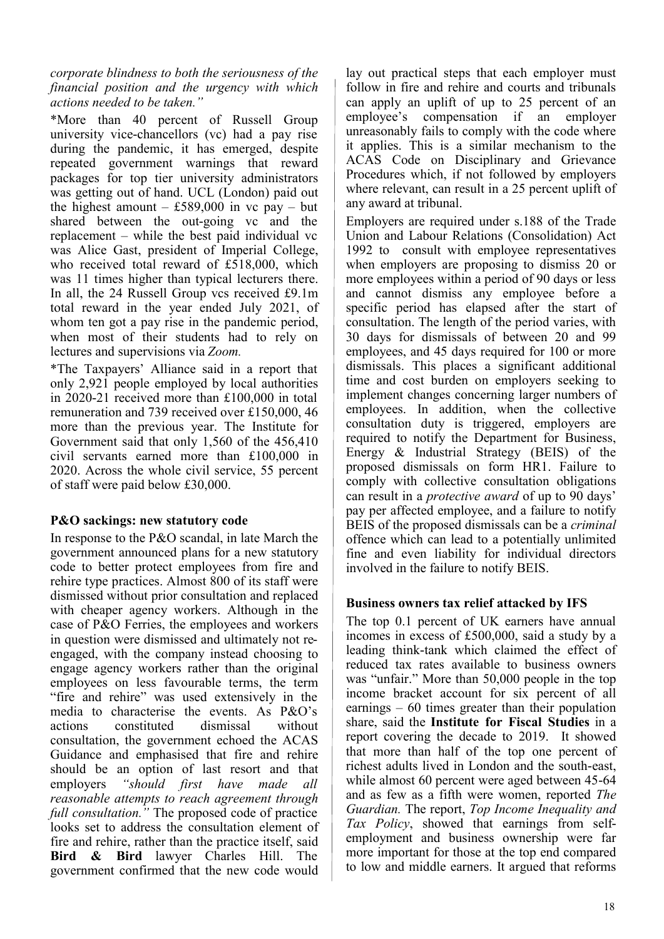*corporate blindness to both the seriousness of the financial position and the urgency with which actions needed to be taken."*

\*More than 40 percent of Russell Group university vice-chancellors (vc) had a pay rise during the pandemic, it has emerged, despite repeated government warnings that reward packages for top tier university administrators was getting out of hand. UCL (London) paid out the highest amount – £589,000 in vc pay – but shared between the out-going vc and the replacement – while the best paid individual vc was Alice Gast, president of Imperial College, who received total reward of £518,000, which was 11 times higher than typical lecturers there. In all, the 24 Russell Group vcs received £9.1m total reward in the year ended July 2021, of whom ten got a pay rise in the pandemic period, when most of their students had to rely on lectures and supervisions via *Zoom.*

\*The Taxpayers' Alliance said in a report that only 2,921 people employed by local authorities in 2020-21 received more than £100,000 in total remuneration and 739 received over £150,000, 46 more than the previous year. The Institute for Government said that only 1,560 of the 456,410 civil servants earned more than £100,000 in 2020. Across the whole civil service, 55 percent of staff were paid below £30,000.

### **P&O sackings: new statutory code**

In response to the P&O scandal, in late March the government [announced plans for a new statutory](https://www.gov.uk/government/news/new-statutory-code-to-prevent-unscrupulous-employers-using-fire-and-rehire-tactics)  [code](https://www.gov.uk/government/news/new-statutory-code-to-prevent-unscrupulous-employers-using-fire-and-rehire-tactics) to better protect employees from fire and rehire type practices. Almost 800 of its staff were dismissed without prior consultation and replaced with cheaper agency workers. Although in the case of P&O Ferries, the employees and workers in question were dismissed and ultimately not reengaged, with the company instead choosing to engage agency workers rather than the original employees on less favourable terms, the term "fire and rehire" was used extensively in the media to characterise the events. As P&O's actions constituted dismissal without consultation, the government echoed the ACAS Guidance and emphasised that fire and rehire should be an option of last resort and that employers *"should first have made all reasonable attempts to reach agreement through full consultation."* The proposed code of practice looks set to address the consultation element of fire and rehire, rather than the practice itself, said **Bird & Bird** lawyer Charles Hill. The government confirmed that the new code would

lay out practical steps that each employer must follow in fire and rehire and courts and tribunals can apply an uplift of up to 25 percent of an employee's compensation if an employer unreasonably fails to comply with the code where it applies. This is a similar mechanism to the ACAS Code on Disciplinary and Grievance Procedures which, if not followed by employers where relevant, can result in a 25 percent uplift of any award at tribunal.

Employers are required under s.188 of the Trade Union and Labour Relations (Consolidation) Act 1992 to consult with employee representatives when employers are proposing to dismiss 20 or more employees within a period of 90 days or less and cannot dismiss any employee before a specific period has elapsed after the start of consultation. The length of the period varies, with 30 days for dismissals of between 20 and 99 employees, and 45 days required for 100 or more dismissals. This places a significant additional time and cost burden on employers seeking to implement changes concerning larger numbers of employees. In addition, when the collective consultation duty is triggered, employers are required to notify the Department for Business, Energy & Industrial Strategy (BEIS) of the proposed dismissals on form HR1. Failure to comply with collective consultation obligations can result in a *protective award* of up to 90 days' pay per affected employee, and a failure to notify BEIS of the proposed dismissals can be a *criminal* offence which can lead to a potentially unlimited fine and even liability for individual directors involved in the failure to notify BEIS.

### **Business owners tax relief attacked by IFS**

The top 0.1 percent of UK earners have annual incomes in excess of £500,000, said a study by a leading think-tank which claimed the effect of reduced tax rates available to business owners was "unfair." More than 50,000 people in the top income bracket account for six percent of all earnings – 60 times greater than their population share, said the **Institute for Fiscal Studies** in a report covering the decade to 2019. It showed that more than half of the top one percent of richest adults lived in London and the south-east, while almost 60 percent were aged between 45-64 and as few as a fifth were women, reported *The Guardian.* The report, *Top Income Inequality and Tax Policy*, showed that earnings from selfemployment and business ownership were far more important for those at the top end compared to low and middle earners. It argued that reforms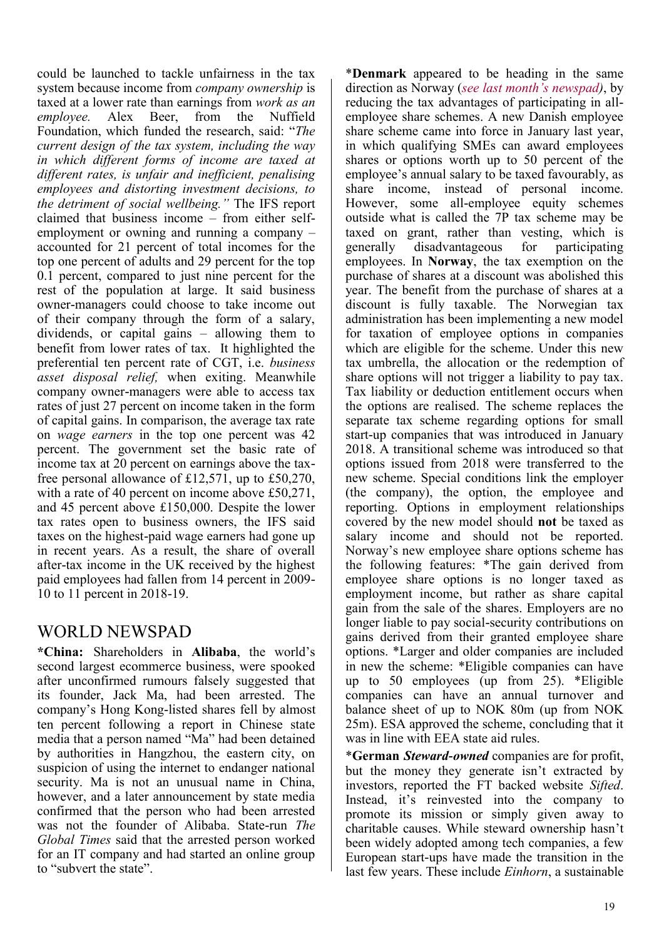could be launched to tackle unfairness in the tax system because income from *company ownership* is taxed at a lower rate than earnings from *work as an employee.* Alex Beer, from the Nuffield Foundation, which funded the research, said: "*The current design of the tax system, including the way in which different forms of income are taxed at different rates, is unfair and inefficient, penalising employees and distorting investment decisions, to the detriment of social wellbeing."* The IFS report claimed that business income – from either selfemployment or owning and running a company – accounted for 21 percent of total incomes for the top one percent of adults and 29 percent for the top 0.1 percent, compared to just nine percent for the rest of the population at large. It said business owner-managers could choose to take income out of their company through the form of a salary, dividends, or capital gains – allowing them to benefit from lower rates of tax. It highlighted the preferential ten percent rate of CGT, i.e. *business asset disposal relief,* when exiting. Meanwhile company owner-managers were able to access tax rates of just 27 percent on income taken in the form of capital gains. In comparison, the average tax rate on *wage earners* in the top one percent was 42 percent. The government set the basic rate of income tax at 20 percent on earnings above the taxfree personal allowance of £12,571, up to £50,270, with a rate of 40 percent on income above £50,271, and 45 percent above £150,000. Despite the lower tax rates open to business owners, the IFS said taxes on the highest-paid wage earners had gone up in recent years. As a result, the share of overall after-tax income in the UK received by the highest paid employees had fallen from 14 percent in 2009- 10 to 11 percent in 2018-19.

### WORLD NEWSPAD

**\*China:** Shareholders in **Alibaba**, the world's second largest ecommerce business, were spooked after unconfirmed rumours falsely suggested that its founder, Jack Ma, had been arrested. The company's Hong Kong-listed shares fell by almost ten percent following a report in Chinese state media that a person named "Ma" had been detained by authorities in Hangzhou, the eastern city, on suspicion of using the internet to endanger national security. Ma is not an unusual name in China, however, and a later announcement by state media confirmed that the person who had been arrested was not the founder of Alibaba. State-run *The Global Times* said that the arrested person worked for an IT company and had started an online group to "subvert the state".

\***Denmark** appeared to be heading in the same direction as Norway (*[see last month's newspad\)](http://www.esopcentre.com/download/27046#page=19)*, by reducing the tax advantages of participating in allemployee share schemes. A new Danish employee share scheme came into force in January last year, in which qualifying SMEs can award employees shares or options worth up to 50 percent of the employee's annual salary to be taxed favourably, as share income, instead of personal income. However, some all-employee equity schemes outside what is called the 7P tax scheme may be taxed on grant, rather than vesting, which is generally disadvantageous for participating employees. In **Norway**, the tax exemption on the purchase of shares at a discount was abolished this year. The benefit from the purchase of shares at a discount is fully taxable. The Norwegian tax administration has been implementing a new model for taxation of employee options in companies which are eligible for the scheme. Under this new tax umbrella, the allocation or the redemption of share options will not trigger a liability to pay tax. Tax liability or deduction entitlement occurs when the options are realised. The scheme replaces the separate tax scheme regarding options for small start-up companies that was introduced in January 2018. A transitional scheme was introduced so that options issued from 2018 were transferred to the new scheme. Special conditions link the employer (the company), the option, the employee and reporting. Options in employment relationships covered by the new model should **not** be taxed as salary income and should not be reported. Norway's new employee share options scheme has the following features: \*The gain derived from employee share options is no longer taxed as employment income, but rather as share capital gain from the sale of the shares. Employers are no longer liable to pay social-security contributions on gains derived from their granted employee share options. \*Larger and older companies are included in new the scheme: \*Eligible companies can have up to 50 employees (up from 25). \*Eligible companies can have an annual turnover and balance sheet of up to NOK 80m (up from NOK 25m). ESA approved the scheme, concluding that it was in line with EEA state aid rules.

\***German** *Steward-owned* companies are for profit, but the money they generate isn't extracted by investors, reported the FT backed website *Sifted*. Instead, it's reinvested into the company to promote its mission or simply given away to charitable causes. While steward ownership hasn't been widely adopted among tech companies, a few European start-ups have made the transition in the last few years. These include *Einhorn*, a sustainable